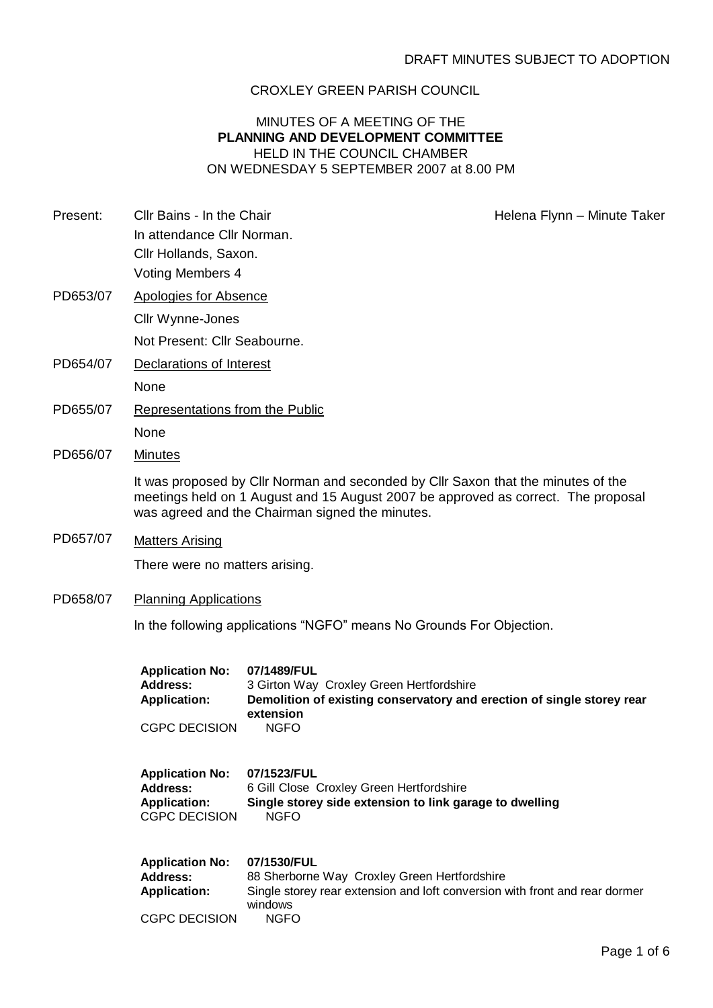## CROXLEY GREEN PARISH COUNCIL

## MINUTES OF A MEETING OF THE **PLANNING AND DEVELOPMENT COMMITTEE** HELD IN THE COUNCIL CHAMBER ON WEDNESDAY 5 SEPTEMBER 2007 at 8.00 PM

Present: Cllr Bains - In the Chair **Helena Flynn** – Minute Taker

- In attendance Cllr Norman. Cllr Hollands, Saxon. Voting Members 4
- PD653/07 Apologies for Absence Cllr Wynne-Jones
	- Not Present: Cllr Seabourne.
- PD654/07 Declarations of Interest None
- PD655/07 Representations from the Public None
- PD656/07 Minutes

It was proposed by Cllr Norman and seconded by Cllr Saxon that the minutes of the meetings held on 1 August and 15 August 2007 be approved as correct. The proposal was agreed and the Chairman signed the minutes.

PD657/07 Matters Arising

There were no matters arising.

PD658/07 Planning Applications

In the following applications "NGFO" means No Grounds For Objection.

| <b>Application No:</b><br>Address:<br><b>Application:</b><br><b>CGPC DECISION</b> | 07/1489/FUL<br>3 Girton Way Croxley Green Hertfordshire<br>Demolition of existing conservatory and erection of single storey rear<br>extension<br><b>NGFO</b>        |
|-----------------------------------------------------------------------------------|----------------------------------------------------------------------------------------------------------------------------------------------------------------------|
| <b>Application No:</b><br>Address:<br><b>Application:</b><br><b>CGPC DECISION</b> | 07/1523/FUL<br>6 Gill Close Croxley Green Hertfordshire<br>Single storey side extension to link garage to dwelling<br><b>NGFO</b>                                    |
| <b>Application No:</b><br>Address:<br><b>Application:</b><br><b>CGPC DECISION</b> | 07/1530/FUL<br>88 Sherborne Way Croxley Green Hertfordshire<br>Single storey rear extension and loft conversion with front and rear dormer<br>windows<br><b>NGFO</b> |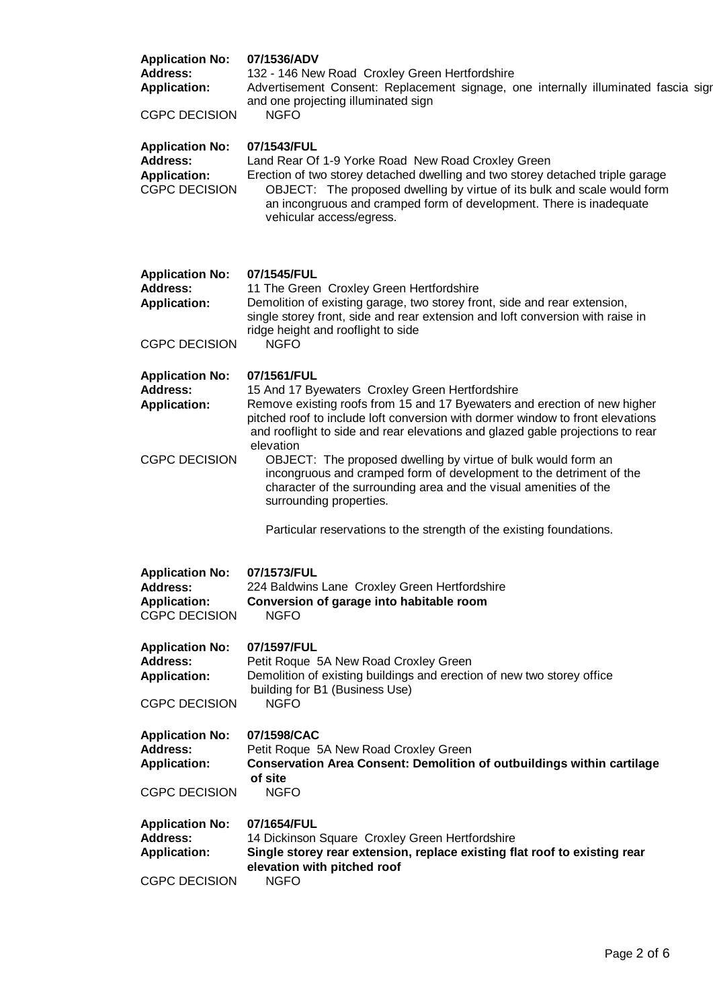| <b>Application No:</b><br><b>Address:</b><br><b>Application:</b><br><b>CGPC DECISION</b> | 07/1536/ADV<br>132 - 146 New Road Croxley Green Hertfordshire<br>Advertisement Consent: Replacement signage, one internally illuminated fascia sigr<br>and one projecting illuminated sign<br><b>NGFO</b>                                                                                                                          |  |  |  |
|------------------------------------------------------------------------------------------|------------------------------------------------------------------------------------------------------------------------------------------------------------------------------------------------------------------------------------------------------------------------------------------------------------------------------------|--|--|--|
| <b>Application No:</b><br>Address:<br><b>Application:</b><br><b>CGPC DECISION</b>        | 07/1543/FUL<br>Land Rear Of 1-9 Yorke Road New Road Croxley Green<br>Erection of two storey detached dwelling and two storey detached triple garage<br>OBJECT: The proposed dwelling by virtue of its bulk and scale would form<br>an incongruous and cramped form of development. There is inadequate<br>vehicular access/egress. |  |  |  |
| <b>Application No:</b><br><b>Address:</b><br><b>Application:</b><br><b>CGPC DECISION</b> | 07/1545/FUL<br>11 The Green Croxley Green Hertfordshire<br>Demolition of existing garage, two storey front, side and rear extension,<br>single storey front, side and rear extension and loft conversion with raise in<br>ridge height and rooflight to side<br><b>NGFO</b>                                                        |  |  |  |
| <b>Application No:</b><br>Address:<br><b>Application:</b>                                | 07/1561/FUL<br>15 And 17 Byewaters Croxley Green Hertfordshire<br>Remove existing roofs from 15 and 17 Byewaters and erection of new higher<br>pitched roof to include loft conversion with dormer window to front elevations<br>and rooflight to side and rear elevations and glazed gable projections to rear<br>elevation       |  |  |  |
| <b>CGPC DECISION</b>                                                                     | OBJECT: The proposed dwelling by virtue of bulk would form an<br>incongruous and cramped form of development to the detriment of the<br>character of the surrounding area and the visual amenities of the<br>surrounding properties.<br>Particular reservations to the strength of the existing foundations.                       |  |  |  |
| <b>Application No:</b><br><b>Address:</b><br><b>Application:</b><br><b>CGPC DECISION</b> | 07/1573/FUL<br>224 Baldwins Lane Croxley Green Hertfordshire<br>Conversion of garage into habitable room<br><b>NGFO</b>                                                                                                                                                                                                            |  |  |  |
| <b>Application No:</b><br><b>Address:</b><br><b>Application:</b><br><b>CGPC DECISION</b> | 07/1597/FUL<br>Petit Roque 5A New Road Croxley Green<br>Demolition of existing buildings and erection of new two storey office<br>building for B1 (Business Use)<br><b>NGFO</b>                                                                                                                                                    |  |  |  |
| <b>Application No:</b><br><b>Address:</b><br><b>Application:</b><br><b>CGPC DECISION</b> | 07/1598/CAC<br>Petit Roque 5A New Road Croxley Green<br><b>Conservation Area Consent: Demolition of outbuildings within cartilage</b><br>of site<br><b>NGFO</b>                                                                                                                                                                    |  |  |  |
| <b>Application No:</b><br><b>Address:</b><br><b>Application:</b><br><b>CGPC DECISION</b> | 07/1654/FUL<br>14 Dickinson Square Croxley Green Hertfordshire<br>Single storey rear extension, replace existing flat roof to existing rear<br>elevation with pitched roof<br><b>NGFO</b>                                                                                                                                          |  |  |  |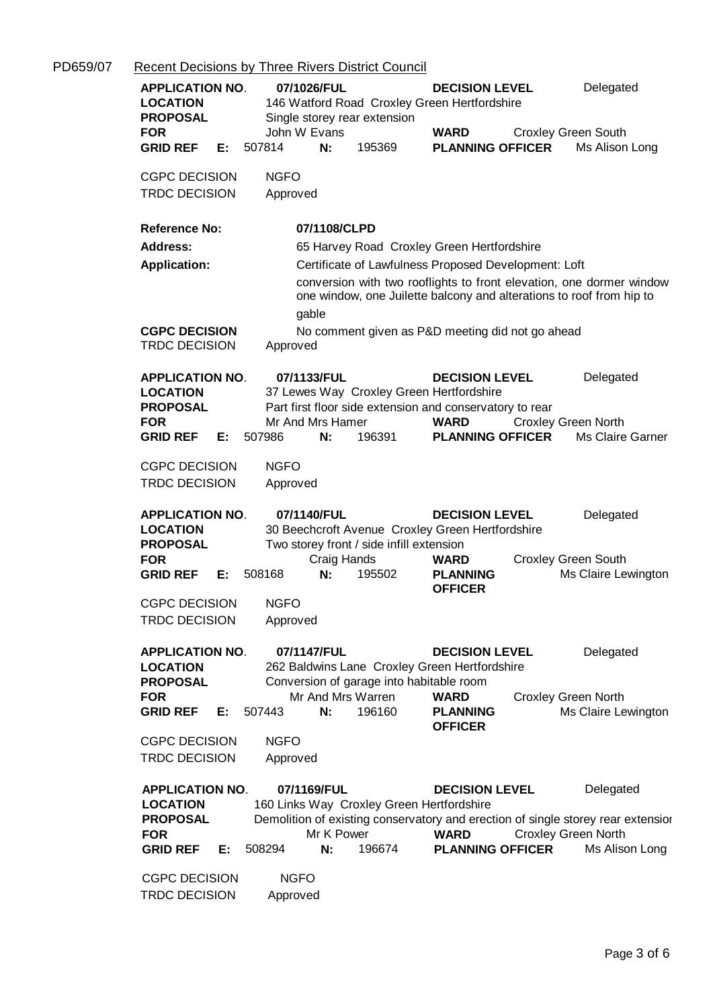| PD659/07 | <b>Recent Decisions by Three Rivers District Council</b>                                                                                                                                                                                                                                                                                                                                                                    |  |  |  |  |  |  |  |
|----------|-----------------------------------------------------------------------------------------------------------------------------------------------------------------------------------------------------------------------------------------------------------------------------------------------------------------------------------------------------------------------------------------------------------------------------|--|--|--|--|--|--|--|
|          | 07/1026/FUL<br>Delegated<br><b>APPLICATION NO.</b><br><b>DECISION LEVEL</b><br>146 Watford Road Croxley Green Hertfordshire<br><b>LOCATION</b><br><b>PROPOSAL</b><br>Single storey rear extension<br>John W Evans<br><b>FOR</b><br><b>WARD</b><br><b>Croxley Green South</b>                                                                                                                                                |  |  |  |  |  |  |  |
|          | 195369<br><b>GRID REF</b><br>507814<br>N:<br><b>PLANNING OFFICER</b><br>Ms Alison Long<br>E:                                                                                                                                                                                                                                                                                                                                |  |  |  |  |  |  |  |
|          | <b>CGPC DECISION</b><br><b>NGFO</b><br><b>TRDC DECISION</b><br>Approved                                                                                                                                                                                                                                                                                                                                                     |  |  |  |  |  |  |  |
|          | <b>Reference No:</b><br>07/1108/CLPD                                                                                                                                                                                                                                                                                                                                                                                        |  |  |  |  |  |  |  |
|          | <b>Address:</b><br>65 Harvey Road Croxley Green Hertfordshire                                                                                                                                                                                                                                                                                                                                                               |  |  |  |  |  |  |  |
|          | Certificate of Lawfulness Proposed Development: Loft<br><b>Application:</b>                                                                                                                                                                                                                                                                                                                                                 |  |  |  |  |  |  |  |
|          | conversion with two rooflights to front elevation, one dormer window<br>one window, one Juilette balcony and alterations to roof from hip to<br>gable                                                                                                                                                                                                                                                                       |  |  |  |  |  |  |  |
|          | <b>CGPC DECISION</b><br>No comment given as P&D meeting did not go ahead<br><b>TRDC DECISION</b><br>Approved                                                                                                                                                                                                                                                                                                                |  |  |  |  |  |  |  |
|          | Delegated<br><b>APPLICATION NO.</b><br>07/1133/FUL<br><b>DECISION LEVEL</b><br><b>LOCATION</b><br>37 Lewes Way Croxley Green Hertfordshire<br>Part first floor side extension and conservatory to rear<br><b>PROPOSAL</b>                                                                                                                                                                                                   |  |  |  |  |  |  |  |
|          | <b>FOR</b><br>Mr And Mrs Hamer<br><b>WARD</b><br><b>Croxley Green North</b>                                                                                                                                                                                                                                                                                                                                                 |  |  |  |  |  |  |  |
|          | 507986<br>196391<br><b>PLANNING OFFICER</b><br>Ms Claire Garner<br><b>GRID REF</b><br>E: .<br>N:                                                                                                                                                                                                                                                                                                                            |  |  |  |  |  |  |  |
|          | <b>NGFO</b><br><b>CGPC DECISION</b>                                                                                                                                                                                                                                                                                                                                                                                         |  |  |  |  |  |  |  |
|          | <b>TRDC DECISION</b><br>Approved                                                                                                                                                                                                                                                                                                                                                                                            |  |  |  |  |  |  |  |
|          | <b>APPLICATION NO.</b><br>07/1140/FUL<br><b>DECISION LEVEL</b><br>Delegated<br>30 Beechcroft Avenue Croxley Green Hertfordshire<br><b>LOCATION</b><br><b>PROPOSAL</b><br>Two storey front / side infill extension<br><b>FOR</b><br>Craig Hands<br><b>Croxley Green South</b><br><b>WARD</b><br>N:<br>195502<br><b>GRID REF</b><br>508168<br><b>PLANNING</b><br>Ms Claire Lewington<br>E:<br><b>OFFICER</b>                  |  |  |  |  |  |  |  |
|          | <b>NGFO</b><br><b>CGPC DECISION</b>                                                                                                                                                                                                                                                                                                                                                                                         |  |  |  |  |  |  |  |
|          | <b>TRDC DECISION</b><br>Approved                                                                                                                                                                                                                                                                                                                                                                                            |  |  |  |  |  |  |  |
|          | <b>APPLICATION NO.</b><br>07/1147/FUL<br>Delegated<br><b>DECISION LEVEL</b><br>262 Baldwins Lane Croxley Green Hertfordshire<br><b>LOCATION</b><br><b>PROPOSAL</b><br>Conversion of garage into habitable room<br>Mr And Mrs Warren<br><b>Croxley Green North</b><br><b>WARD</b><br><b>FOR</b>                                                                                                                              |  |  |  |  |  |  |  |
|          | 196160<br><b>GRID REF</b><br>507443<br>N:<br><b>PLANNING</b><br>Ms Claire Lewington<br>E:<br><b>OFFICER</b>                                                                                                                                                                                                                                                                                                                 |  |  |  |  |  |  |  |
|          | <b>NGFO</b><br><b>CGPC DECISION</b>                                                                                                                                                                                                                                                                                                                                                                                         |  |  |  |  |  |  |  |
|          | <b>TRDC DECISION</b><br>Approved                                                                                                                                                                                                                                                                                                                                                                                            |  |  |  |  |  |  |  |
|          |                                                                                                                                                                                                                                                                                                                                                                                                                             |  |  |  |  |  |  |  |
|          | <b>APPLICATION NO.</b><br>07/1169/FUL<br><b>DECISION LEVEL</b><br>Delegated<br><b>LOCATION</b><br>160 Links Way Croxley Green Hertfordshire<br><b>PROPOSAL</b><br>Demolition of existing conservatory and erection of single storey rear extensior<br>Mr K Power<br><b>WARD</b><br><b>Croxley Green North</b><br><b>FOR</b><br>508294<br>N:<br>196674<br><b>PLANNING OFFICER</b><br>Ms Alison Long<br><b>GRID REF</b><br>Е: |  |  |  |  |  |  |  |
|          |                                                                                                                                                                                                                                                                                                                                                                                                                             |  |  |  |  |  |  |  |
|          | <b>CGPC DECISION</b><br><b>NGFO</b><br><b>TRDC DECISION</b><br>Approved                                                                                                                                                                                                                                                                                                                                                     |  |  |  |  |  |  |  |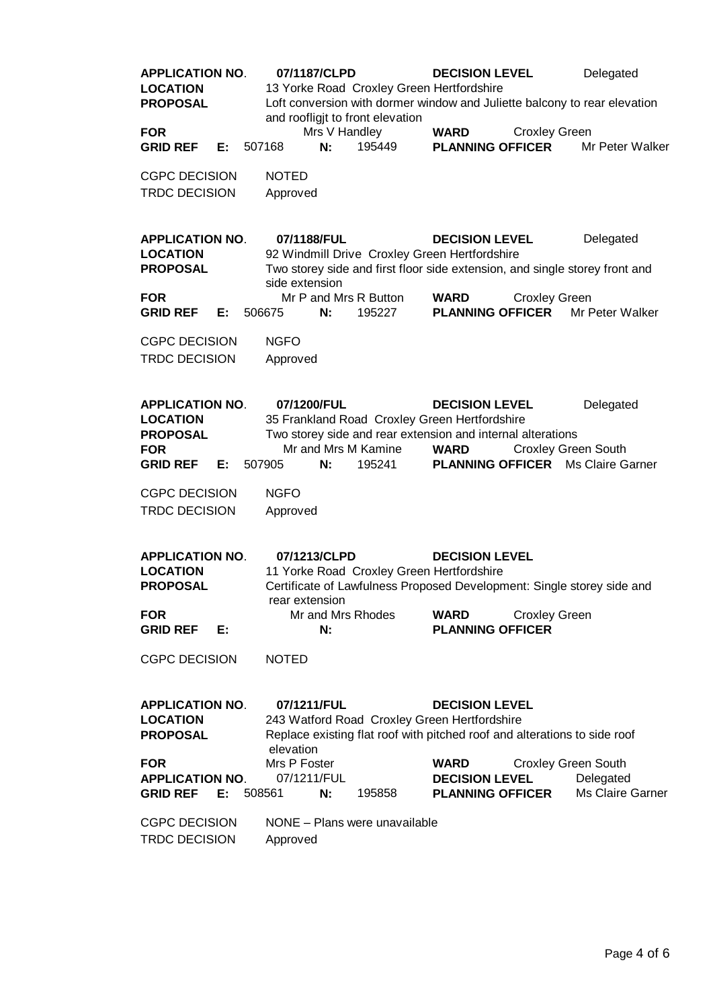| <b>APPLICATION NO.</b><br><b>LOCATION</b><br><b>PROPOSAL</b>                                  |    |        | 07/1187/CLPD                   |                     | and roofligjt to front elevation | <b>DECISION LEVEL</b><br>13 Yorke Road Croxley Green Hertfordshire                                                                                   |                      | Delegated<br>Loft conversion with dormer window and Juliette balcony to rear elevation   |
|-----------------------------------------------------------------------------------------------|----|--------|--------------------------------|---------------------|----------------------------------|------------------------------------------------------------------------------------------------------------------------------------------------------|----------------------|------------------------------------------------------------------------------------------|
| <b>FOR</b><br><b>GRID REF</b>                                                                 | E: | 507168 |                                | Mrs V Handley<br>N: | 195449                           | <b>WARD</b><br><b>PLANNING OFFICER</b>                                                                                                               | <b>Croxley Green</b> | Mr Peter Walker                                                                          |
| <b>CGPC DECISION</b><br><b>TRDC DECISION</b>                                                  |    |        | <b>NOTED</b><br>Approved       |                     |                                  |                                                                                                                                                      |                      |                                                                                          |
| <b>APPLICATION NO.</b><br><b>LOCATION</b><br><b>PROPOSAL</b><br><b>FOR</b>                    |    |        | 07/1188/FUL<br>side extension  |                     | Mr P and Mrs R Button            | <b>DECISION LEVEL</b><br>92 Windmill Drive Croxley Green Hertfordshire<br><b>WARD</b>                                                                | <b>Croxley Green</b> | Delegated<br>Two storey side and first floor side extension, and single storey front and |
| <b>GRID REF</b>                                                                               | Е: | 506675 |                                | N:                  | 195227                           | <b>PLANNING OFFICER</b>                                                                                                                              |                      | Mr Peter Walker                                                                          |
| <b>CGPC DECISION</b><br><b>TRDC DECISION</b>                                                  |    |        | <b>NGFO</b><br>Approved        |                     |                                  |                                                                                                                                                      |                      |                                                                                          |
| <b>APPLICATION NO.</b><br><b>LOCATION</b><br><b>PROPOSAL</b><br><b>FOR</b><br><b>GRID REF</b> | E: | 507905 | 07/1200/FUL                    | N:                  | Mr and Mrs M Kamine<br>195241    | <b>DECISION LEVEL</b><br>35 Frankland Road Croxley Green Hertfordshire<br>Two storey side and rear extension and internal alterations<br><b>WARD</b> |                      | Delegated<br><b>Croxley Green South</b><br><b>PLANNING OFFICER</b> Ms Claire Garner      |
| <b>CGPC DECISION</b><br><b>TRDC DECISION</b>                                                  |    |        | <b>NGFO</b><br>Approved        |                     |                                  |                                                                                                                                                      |                      |                                                                                          |
| <b>APPLICATION NO.</b><br><b>LOCATION</b><br><b>PROPOSAL</b>                                  |    |        | 07/1213/CLPD<br>rear extension |                     |                                  | <b>DECISION LEVEL</b><br>11 Yorke Road Croxley Green Hertfordshire                                                                                   |                      | Certificate of Lawfulness Proposed Development: Single storey side and                   |
| <b>FOR</b><br><b>GRID REF</b>                                                                 | E: |        |                                | N:                  | Mr and Mrs Rhodes                | <b>WARD</b><br><b>PLANNING OFFICER</b>                                                                                                               | <b>Croxley Green</b> |                                                                                          |
| <b>CGPC DECISION</b>                                                                          |    |        | <b>NOTED</b>                   |                     |                                  |                                                                                                                                                      |                      |                                                                                          |
| <b>APPLICATION NO.</b><br><b>LOCATION</b><br><b>PROPOSAL</b>                                  |    |        | 07/1211/FUL<br>elevation       |                     |                                  | <b>DECISION LEVEL</b><br>243 Watford Road Croxley Green Hertfordshire<br>Replace existing flat roof with pitched roof and alterations to side roof   |                      |                                                                                          |
| <b>FOR</b>                                                                                    |    |        | Mrs P Foster                   |                     |                                  | <b>WARD</b>                                                                                                                                          |                      | <b>Croxley Green South</b>                                                               |
| <b>APPLICATION NO.</b><br><b>GRID REF</b>                                                     | Е: | 508561 | 07/1211/FUL                    | N:                  | 195858                           | <b>DECISION LEVEL</b><br><b>PLANNING OFFICER</b>                                                                                                     |                      | Delegated<br>Ms Claire Garner                                                            |
| <b>CGPC DECISION</b><br><b>TRDC DECISION</b>                                                  |    |        | Approved                       |                     | NONE - Plans were unavailable    |                                                                                                                                                      |                      |                                                                                          |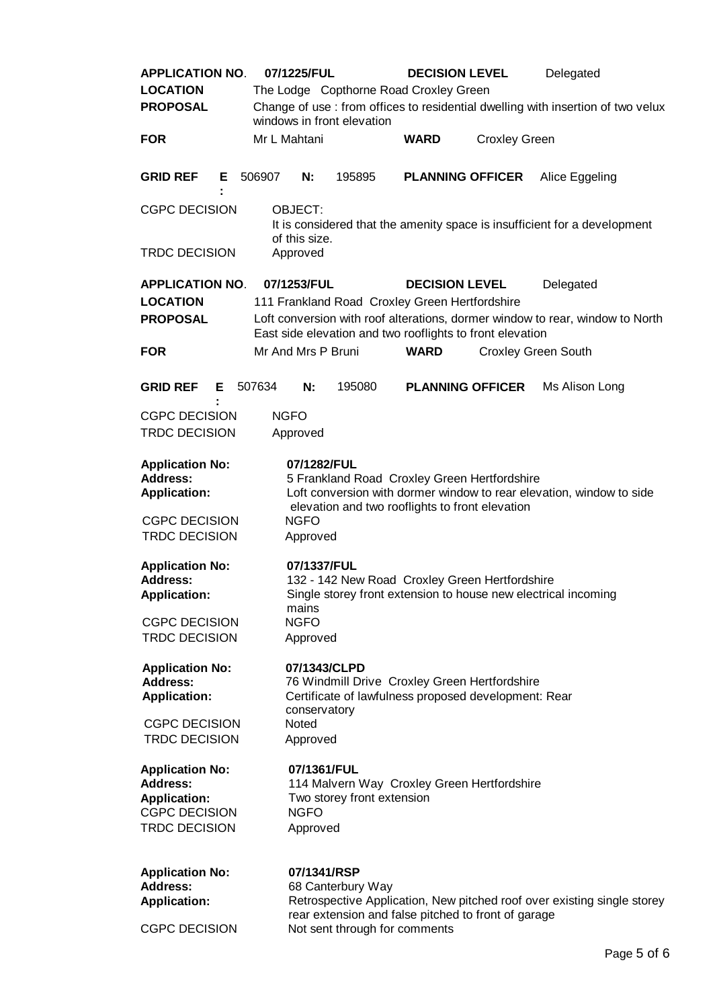| <b>APPLICATION NO.</b>                                                                                           |   |                                                                                                                                                            | 07/1225/FUL                                                                                                                                                                                                                                       |                                                    | <b>DECISION LEVEL</b>                                                                                            |                            | Delegated                                                                       |  |
|------------------------------------------------------------------------------------------------------------------|---|------------------------------------------------------------------------------------------------------------------------------------------------------------|---------------------------------------------------------------------------------------------------------------------------------------------------------------------------------------------------------------------------------------------------|----------------------------------------------------|------------------------------------------------------------------------------------------------------------------|----------------------------|---------------------------------------------------------------------------------|--|
| <b>LOCATION</b>                                                                                                  |   |                                                                                                                                                            |                                                                                                                                                                                                                                                   |                                                    | The Lodge Copthorne Road Croxley Green                                                                           |                            |                                                                                 |  |
| <b>PROPOSAL</b>                                                                                                  |   |                                                                                                                                                            |                                                                                                                                                                                                                                                   | windows in front elevation                         |                                                                                                                  |                            | Change of use: from offices to residential dwelling with insertion of two velux |  |
| <b>FOR</b>                                                                                                       |   | Mr L Mahtani                                                                                                                                               |                                                                                                                                                                                                                                                   |                                                    | <b>WARD</b>                                                                                                      | <b>Croxley Green</b>       |                                                                                 |  |
| <b>GRID REF</b>                                                                                                  | Е | 506907                                                                                                                                                     | N:                                                                                                                                                                                                                                                | 195895                                             | <b>PLANNING OFFICER</b>                                                                                          |                            | Alice Eggeling                                                                  |  |
| <b>CGPC DECISION</b><br><b>TRDC DECISION</b>                                                                     |   | OBJECT:<br>It is considered that the amenity space is insufficient for a development<br>of this size.<br>Approved                                          |                                                                                                                                                                                                                                                   |                                                    |                                                                                                                  |                            |                                                                                 |  |
| <b>APPLICATION NO.</b><br><b>LOCATION</b><br><b>PROPOSAL</b>                                                     |   |                                                                                                                                                            | 07/1253/FUL<br><b>DECISION LEVEL</b><br>Delegated<br>111 Frankland Road Croxley Green Hertfordshire<br>Loft conversion with roof alterations, dormer window to rear, window to North<br>East side elevation and two rooflights to front elevation |                                                    |                                                                                                                  |                            |                                                                                 |  |
| <b>FOR</b>                                                                                                       |   |                                                                                                                                                            | Mr And Mrs P Bruni                                                                                                                                                                                                                                |                                                    | <b>WARD</b>                                                                                                      | <b>Croxley Green South</b> |                                                                                 |  |
| <b>GRID REF</b>                                                                                                  | E | 507634                                                                                                                                                     | N:                                                                                                                                                                                                                                                | 195080                                             | <b>PLANNING OFFICER</b>                                                                                          |                            | Ms Alison Long                                                                  |  |
| <b>CGPC DECISION</b><br><b>TRDC DECISION</b>                                                                     |   | <b>NGFO</b>                                                                                                                                                | Approved                                                                                                                                                                                                                                          |                                                    |                                                                                                                  |                            |                                                                                 |  |
| <b>Application No:</b><br>Address:<br><b>Application:</b>                                                        |   |                                                                                                                                                            | 07/1282/FUL                                                                                                                                                                                                                                       |                                                    | 5 Frankland Road Croxley Green Hertfordshire                                                                     |                            | Loft conversion with dormer window to rear elevation, window to side            |  |
| <b>CGPC DECISION</b><br><b>TRDC DECISION</b>                                                                     |   |                                                                                                                                                            | elevation and two rooflights to front elevation<br><b>NGFO</b><br>Approved                                                                                                                                                                        |                                                    |                                                                                                                  |                            |                                                                                 |  |
| <b>Application No:</b><br><b>Address:</b><br><b>Application:</b>                                                 |   |                                                                                                                                                            | 07/1337/FUL<br>mains                                                                                                                                                                                                                              |                                                    | 132 - 142 New Road Croxley Green Hertfordshire<br>Single storey front extension to house new electrical incoming |                            |                                                                                 |  |
| <b>CGPC DECISION</b><br><b>TRDC DECISION</b>                                                                     |   |                                                                                                                                                            | <b>NGFO</b><br>Approved                                                                                                                                                                                                                           |                                                    |                                                                                                                  |                            |                                                                                 |  |
| <b>Application No:</b><br><b>Address:</b><br><b>Application:</b><br><b>CGPC DECISION</b><br><b>TRDC DECISION</b> |   | 07/1343/CLPD<br>76 Windmill Drive Croxley Green Hertfordshire<br>Certificate of lawfulness proposed development: Rear<br>conservatory<br>Noted<br>Approved |                                                                                                                                                                                                                                                   |                                                    |                                                                                                                  |                            |                                                                                 |  |
| <b>Application No:</b><br><b>Address:</b><br><b>Application:</b><br><b>CGPC DECISION</b><br><b>TRDC DECISION</b> |   |                                                                                                                                                            | 07/1361/FUL<br><b>NGFO</b><br>Approved                                                                                                                                                                                                            | Two storey front extension                         | 114 Malvern Way Croxley Green Hertfordshire                                                                      |                            |                                                                                 |  |
| <b>Application No:</b><br><b>Address:</b><br><b>Application:</b><br><b>CGPC DECISION</b>                         |   |                                                                                                                                                            | 07/1341/RSP                                                                                                                                                                                                                                       | 68 Canterbury Way<br>Not sent through for comments | rear extension and false pitched to front of garage                                                              |                            | Retrospective Application, New pitched roof over existing single storey         |  |